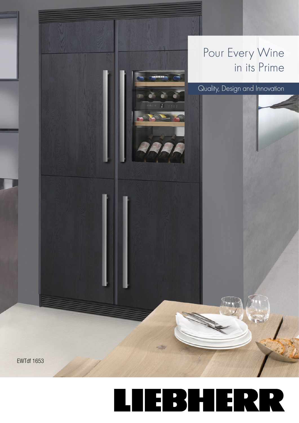

## EBHERR  $\overline{\phantom{a}}$